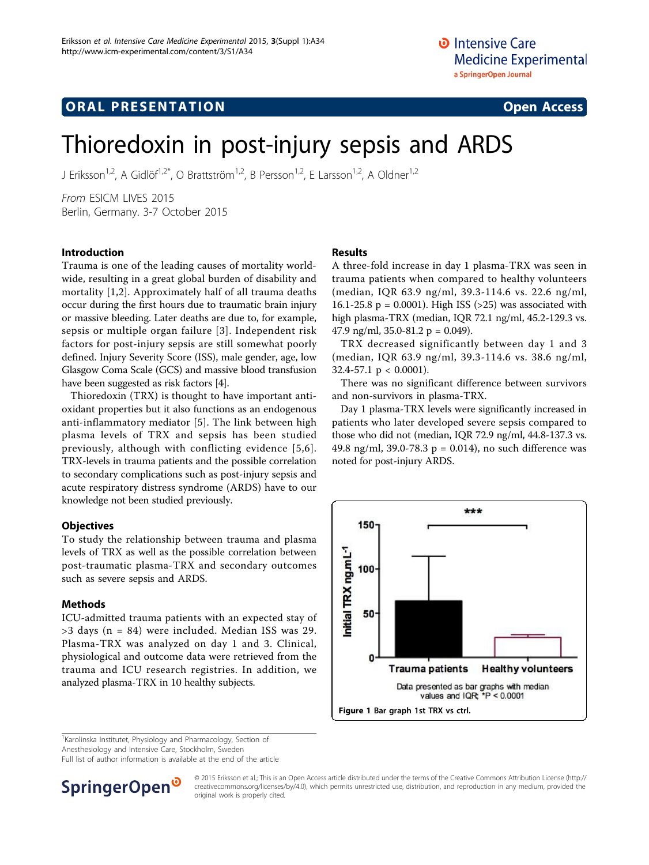# **ORAL PRESENTATION OPEN ACCESS**

# Thioredoxin in post-injury sepsis and ARDS

J Eriksson<sup>1,2</sup>, A Gidlöf<sup>1,2\*</sup>, O Brattström<sup>1,2</sup>, B Persson<sup>1,2</sup>, E Larsson<sup>1,2</sup>, A Oldner<sup>1,2</sup>

From ESICM LIVES 2015 Berlin, Germany. 3-7 October 2015

## Introduction

Trauma is one of the leading causes of mortality worldwide, resulting in a great global burden of disability and mortality [\[1](#page-1-0),[2\]](#page-1-0). Approximately half of all trauma deaths occur during the first hours due to traumatic brain injury or massive bleeding. Later deaths are due to, for example, sepsis or multiple organ failure [\[3\]](#page-1-0). Independent risk factors for post-injury sepsis are still somewhat poorly defined. Injury Severity Score (ISS), male gender, age, low Glasgow Coma Scale (GCS) and massive blood transfusion have been suggested as risk factors [\[4](#page-1-0)].

Thioredoxin (TRX) is thought to have important antioxidant properties but it also functions as an endogenous anti-inflammatory mediator [\[5](#page-1-0)]. The link between high plasma levels of TRX and sepsis has been studied previously, although with conflicting evidence [[5](#page-1-0),[6\]](#page-1-0). TRX-levels in trauma patients and the possible correlation to secondary complications such as post-injury sepsis and acute respiratory distress syndrome (ARDS) have to our knowledge not been studied previously.

## **Objectives**

To study the relationship between trauma and plasma levels of TRX as well as the possible correlation between post-traumatic plasma-TRX and secondary outcomes such as severe sepsis and ARDS.

#### Methods

ICU-admitted trauma patients with an expected stay of >3 days (n = 84) were included. Median ISS was 29. Plasma-TRX was analyzed on day 1 and 3. Clinical, physiological and outcome data were retrieved from the trauma and ICU research registries. In addition, we analyzed plasma-TRX in 10 healthy subjects.

## Results

A three-fold increase in day 1 plasma-TRX was seen in trauma patients when compared to healthy volunteers (median, IQR 63.9 ng/ml, 39.3-114.6 vs. 22.6 ng/ml, 16.1-25.8  $p = 0.0001$ . High ISS (>25) was associated with high plasma-TRX (median, IQR 72.1 ng/ml, 45.2-129.3 vs. 47.9 ng/ml, 35.0-81.2 p =  $0.049$ ).

TRX decreased significantly between day 1 and 3 (median, IQR 63.9 ng/ml, 39.3-114.6 vs. 38.6 ng/ml, 32.4-57.1  $p < 0.0001$ ).

There was no significant difference between survivors and non-survivors in plasma-TRX.

Day 1 plasma-TRX levels were significantly increased in patients who later developed severe sepsis compared to those who did not (median, IQR 72.9 ng/ml, 44.8-137.3 vs. 49.8 ng/ml, 39.0-78.3 p = 0.014), no such difference was noted for post-injury ARDS.



<sup>1</sup>Karolinska Institutet, Physiology and Pharmacology, Section of

Anesthesiology and Intensive Care, Stockholm, Sweden

Full list of author information is available at the end of the article



© 2015 Eriksson et al.; This is an Open Access article distributed under the terms of the Creative Commons Attribution License [\(http://](http://creativecommons.org/licenses/by/4.0) [creativecommons.org/licenses/by/4.0](http://creativecommons.org/licenses/by/4.0)), which permits unrestricted use, distribution, and reproduction in any medium, provided the original work is properly cited.